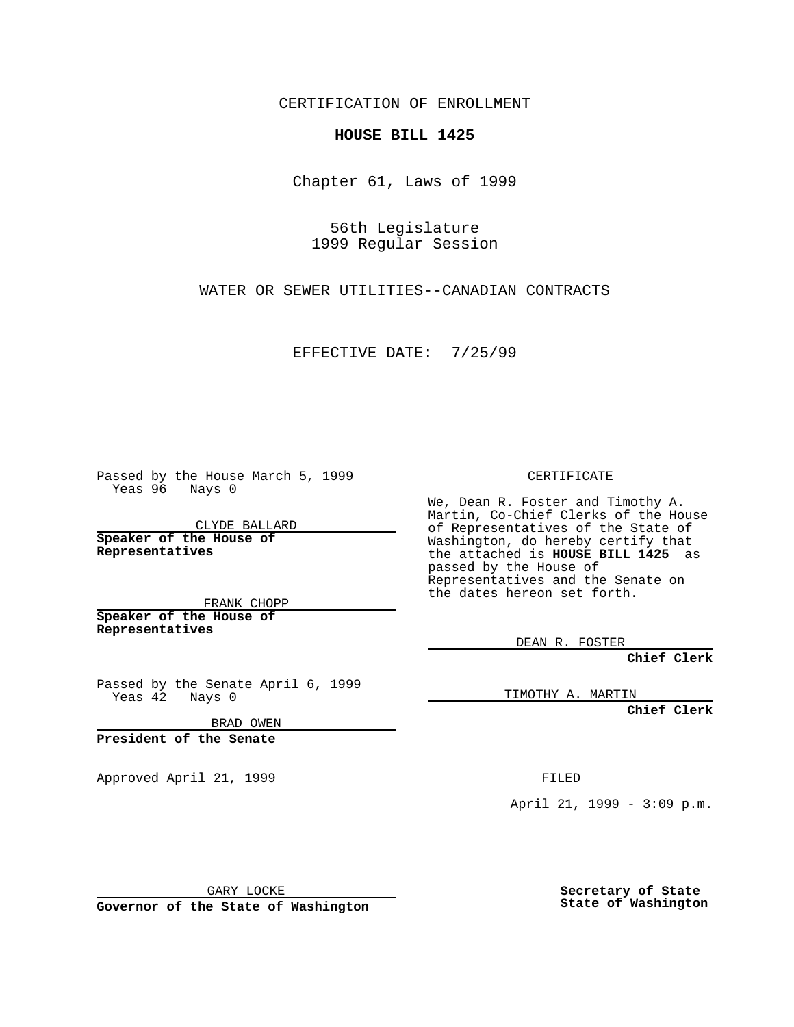CERTIFICATION OF ENROLLMENT

## **HOUSE BILL 1425**

Chapter 61, Laws of 1999

56th Legislature 1999 Regular Session

WATER OR SEWER UTILITIES--CANADIAN CONTRACTS

EFFECTIVE DATE: 7/25/99

Passed by the House March 5, 1999 Yeas 96 Nays 0

CLYDE BALLARD **Speaker of the House of Representatives**

FRANK CHOPP **Speaker of the House of Representatives**

Passed by the Senate April 6, 1999 Yeas 42 Nays 0

BRAD OWEN

**President of the Senate**

Approved April 21, 1999 FILED

CERTIFICATE

We, Dean R. Foster and Timothy A. Martin, Co-Chief Clerks of the House of Representatives of the State of Washington, do hereby certify that the attached is **HOUSE BILL 1425** as passed by the House of Representatives and the Senate on the dates hereon set forth.

DEAN R. FOSTER

**Chief Clerk**

TIMOTHY A. MARTIN

**Chief Clerk**

April 21, 1999 - 3:09 p.m.

GARY LOCKE

**Governor of the State of Washington**

**Secretary of State State of Washington**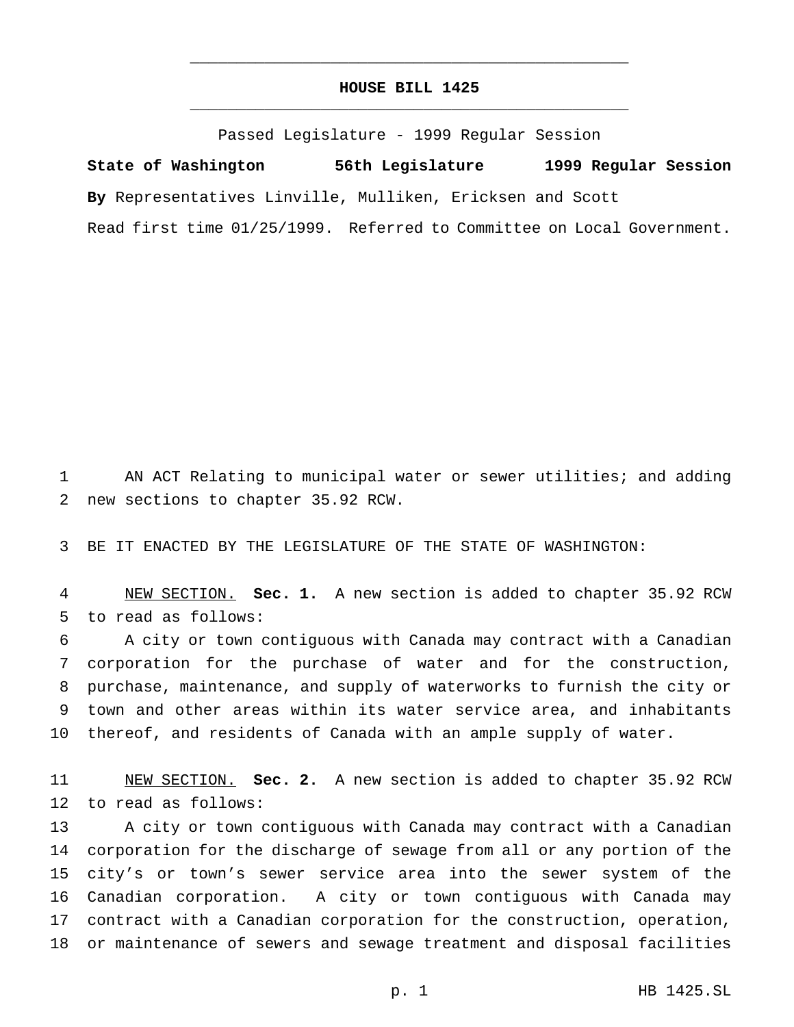## **HOUSE BILL 1425** \_\_\_\_\_\_\_\_\_\_\_\_\_\_\_\_\_\_\_\_\_\_\_\_\_\_\_\_\_\_\_\_\_\_\_\_\_\_\_\_\_\_\_\_\_\_\_

\_\_\_\_\_\_\_\_\_\_\_\_\_\_\_\_\_\_\_\_\_\_\_\_\_\_\_\_\_\_\_\_\_\_\_\_\_\_\_\_\_\_\_\_\_\_\_

Passed Legislature - 1999 Regular Session

**State of Washington 56th Legislature 1999 Regular Session By** Representatives Linville, Mulliken, Ericksen and Scott Read first time 01/25/1999. Referred to Committee on Local Government.

 AN ACT Relating to municipal water or sewer utilities; and adding new sections to chapter 35.92 RCW.

BE IT ENACTED BY THE LEGISLATURE OF THE STATE OF WASHINGTON:

 NEW SECTION. **Sec. 1.** A new section is added to chapter 35.92 RCW to read as follows:

 A city or town contiguous with Canada may contract with a Canadian corporation for the purchase of water and for the construction, purchase, maintenance, and supply of waterworks to furnish the city or town and other areas within its water service area, and inhabitants thereof, and residents of Canada with an ample supply of water.

 NEW SECTION. **Sec. 2.** A new section is added to chapter 35.92 RCW to read as follows:

 A city or town contiguous with Canada may contract with a Canadian corporation for the discharge of sewage from all or any portion of the city's or town's sewer service area into the sewer system of the Canadian corporation. A city or town contiguous with Canada may contract with a Canadian corporation for the construction, operation, or maintenance of sewers and sewage treatment and disposal facilities